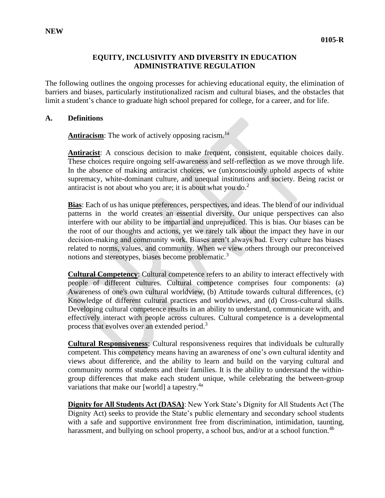### **EQUITY, INCLUSIVITY AND DIVERSITY IN EDUCATION ADMINISTRATIVE REGULATION**

The following outlines the ongoing processes for achieving educational equity, the elimination of barriers and biases, particularly institutionalized racism and cultural biases, and the obstacles that limit a student's chance to graduate high school prepared for college, for a career, and for life.

#### **A. Definitions**

**Antiracism**: The work of actively opposing racism.<sup>1a</sup>

**Antiracist**: A conscious decision to make frequent, consistent, equitable choices daily. These choices require ongoing self-awareness and self-reflection as we move through life. In the absence of making antiracist choices, we (un)consciously uphold aspects of white supremacy, white-dominant culture, and unequal institutions and society. Being racist or antiracist is not about who you are; it is about what you do. $2^2$ 

**Bias**: Each of us has unique preferences, perspectives, and ideas. The blend of our individual patterns in the world creates an essential diversity. Our unique perspectives can also interfere with our ability to be impartial and unprejudiced. This is bias. Our biases can be the root of our thoughts and actions, yet we rarely talk about the impact they have in our decision‐making and community work. Biases aren't always bad. Every culture has biases related to norms, values, and community. When we view others through our preconceived notions and stereotypes, biases become problematic.<sup>3</sup>

**Cultural Competency**: Cultural competence refers to an ability to interact effectively with people of different cultures. Cultural competence comprises four components: (a) Awareness of one's own cultural worldview, (b) Attitude towards cultural differences, (c) Knowledge of different cultural practices and worldviews, and (d) Cross-cultural skills. Developing cultural competence results in an ability to understand, communicate with, and effectively interact with people across cultures. Cultural competence is a developmental process that evolves over an extended period.<sup>3</sup>

**Cultural Responsiveness**: Cultural responsiveness requires that individuals be culturally competent. This competency means having an awareness of one's own cultural identity and views about difference, and the ability to learn and build on the varying cultural and community norms of students and their families. It is the ability to understand the withingroup differences that make each student unique, while celebrating the between-group variations that make our [world] a tapestry.<sup>4a</sup>

**Dignity for All Students Act (DASA)**: New York State's Dignity for All Students Act (The Dignity Act) seeks to provide the State's public elementary and secondary school students with a safe and supportive environment free from discrimination, intimidation, taunting, harassment, and bullying on school property, a school bus, and/or at a school function.<sup>4b</sup>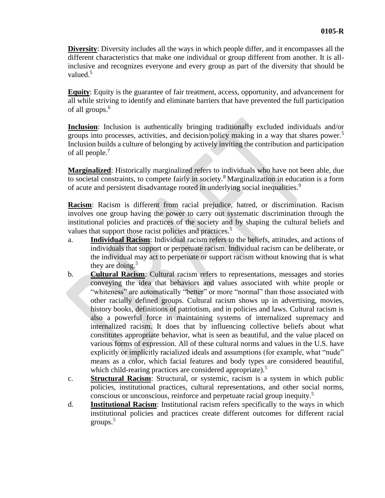**Diversity**: Diversity includes all the ways in which people differ, and it encompasses all the different characteristics that make one individual or group different from another. It is allinclusive and recognizes everyone and every group as part of the diversity that should be valued.<sup>5</sup>

**Equity**: Equity is the guarantee of fair treatment, access, opportunity, and advancement for all while striving to identify and eliminate barriers that have prevented the full participation of all groups.<sup>6</sup>

**Inclusion**: Inclusion is authentically bringing traditionally excluded individuals and/or groups into processes, activities, and decision/policy making in a way that shares power.<sup>5</sup> Inclusion builds a culture of belonging by actively inviting the contribution and participation of all people.<sup>7</sup>

**Marginalized**: Historically marginalized refers to individuals who have not been able, due to societal constraints, to compete fairly in society.<sup>8</sup> Marginalization in education is a form of acute and persistent disadvantage rooted in underlying social inequalities.<sup>9</sup>

**Racism**: Racism is different from racial prejudice, hatred, or discrimination. Racism involves one group having the power to carry out systematic discrimination through the institutional policies and practices of the society and by shaping the cultural beliefs and values that support those racist policies and practices.<sup>5</sup>

- a. **Individual Racism**: Individual racism refers to the beliefs, attitudes, and actions of individuals that support or perpetuate racism. Individual racism can be deliberate, or the individual may act to perpetuate or support racism without knowing that is what they are doing.<sup>5</sup>
- b. **Cultural Racism**: Cultural racism refers to representations, messages and stories conveying the idea that behaviors and values associated with white people or "whiteness" are automatically "better" or more "normal" than those associated with other racially defined groups. Cultural racism shows up in advertising, movies, history books, definitions of patriotism, and in policies and laws. Cultural racism is also a powerful force in maintaining systems of internalized supremacy and internalized racism. It does that by influencing collective beliefs about what constitutes appropriate behavior, what is seen as beautiful, and the value placed on various forms of expression. All of these cultural norms and values in the U.S. have explicitly or implicitly racialized ideals and assumptions (for example, what "nude" means as a color, which facial features and body types are considered beautiful, which child-rearing practices are considered appropriate).<sup>5</sup>
- c. **Structural Racism**: Structural, or systemic, racism is a system in which public policies, institutional practices, cultural representations, and other social norms, conscious or unconscious, reinforce and perpetuate racial group inequity.<sup>5</sup>
- d. **Institutional Racism**: Institutional racism refers specifically to the ways in which institutional policies and practices create different outcomes for different racial groups.<sup>5</sup>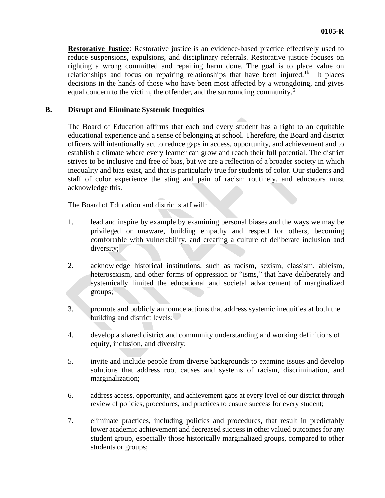**Restorative Justice**: Restorative justice is an evidence-based practice effectively used to reduce suspensions, expulsions, and disciplinary referrals. Restorative justice focuses on righting a wrong committed and repairing harm done. The goal is to place value on relationships and focus on repairing relationships that have been injured.<sup>1b</sup> It places decisions in the hands of those who have been most affected by a wrongdoing, and gives equal concern to the victim, the offender, and the surrounding community.<sup>5</sup>

## **B. Disrupt and Eliminate Systemic Inequities**

The Board of Education affirms that each and every student has a right to an equitable educational experience and a sense of belonging at school. Therefore, the Board and district officers will intentionally act to reduce gaps in access, opportunity, and achievement and to establish a climate where every learner can grow and reach their full potential. The district strives to be inclusive and free of bias, but we are a reflection of a broader society in which inequality and bias exist, and that is particularly true for students of color. Our students and staff of color experience the sting and pain of racism routinely, and educators must acknowledge this.

The Board of Education and district staff will:

- 1. lead and inspire by example by examining personal biases and the ways we may be privileged or unaware, building empathy and respect for others, becoming comfortable with vulnerability, and creating a culture of deliberate inclusion and diversity;
- 2. acknowledge historical institutions, such as racism, sexism, classism, ableism, heterosexism, and other forms of oppression or "isms," that have deliberately and systemically limited the educational and societal advancement of marginalized groups;
- 3. promote and publicly announce actions that address systemic inequities at both the building and district levels;
- 4. develop a shared district and community understanding and working definitions of equity, inclusion, and diversity;
- 5. invite and include people from diverse backgrounds to examine issues and develop solutions that address root causes and systems of racism, discrimination, and marginalization;
- 6. address access, opportunity, and achievement gaps at every level of our district through review of policies, procedures, and practices to ensure success for every student;
- 7. eliminate practices, including policies and procedures, that result in predictably lower academic achievement and decreased success in other valued outcomes for any student group, especially those historically marginalized groups, compared to other students or groups;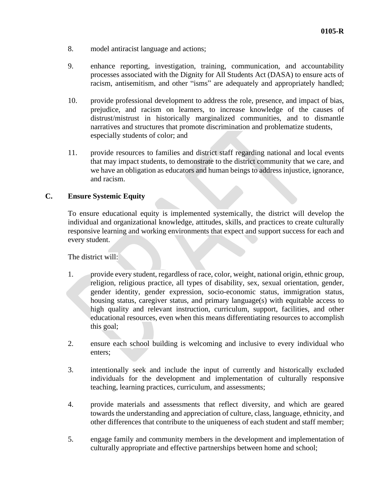- 8. model antiracist language and actions;
- 9. enhance reporting, investigation, training, communication, and accountability processes associated with the Dignity for All Students Act (DASA) to ensure acts of racism, antisemitism, and other "isms" are adequately and appropriately handled;
- 10. provide professional development to address the role, presence, and impact of bias, prejudice, and racism on learners, to increase knowledge of the causes of distrust/mistrust in historically marginalized communities, and to dismantle narratives and structures that promote discrimination and problematize students, especially students of color; and
- 11. provide resources to families and district staff regarding national and local events that may impact students, to demonstrate to the district community that we care, and we have an obligation as educators and human beings to address injustice, ignorance, and racism.

### **C. Ensure Systemic Equity**

To ensure educational equity is implemented systemically, the district will develop the individual and organizational knowledge, attitudes, skills, and practices to create culturally responsive learning and working environments that expect and support success for each and every student.

The district will:

- 1. provide every student, regardless of race, color, weight, national origin, ethnic group, religion, religious practice, all types of disability, sex, sexual orientation, gender, gender identity, gender expression, socio-economic status, immigration status, housing status, caregiver status, and primary language(s) with equitable access to high quality and relevant instruction, curriculum, support, facilities, and other educational resources, even when this means differentiating resources to accomplish this goal;
- 2. ensure each school building is welcoming and inclusive to every individual who enters;
- 3. intentionally seek and include the input of currently and historically excluded individuals for the development and implementation of culturally responsive teaching, learning practices, curriculum, and assessments;
- 4. provide materials and assessments that reflect diversity, and which are geared towards the understanding and appreciation of culture, class, language, ethnicity, and other differences that contribute to the uniqueness of each student and staff member;
- 5. engage family and community members in the development and implementation of culturally appropriate and effective partnerships between home and school;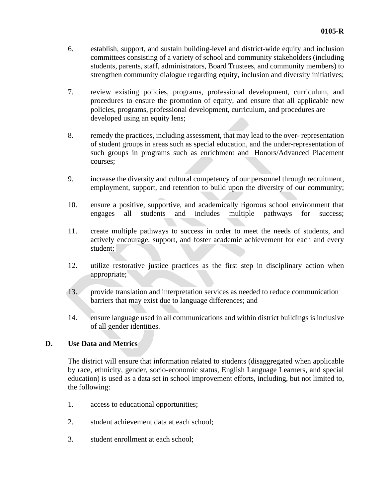- 6. establish, support, and sustain building-level and district-wide equity and inclusion committees consisting of a variety of school and community stakeholders (including students, parents, staff, administrators, Board Trustees, and community members) to strengthen community dialogue regarding equity, inclusion and diversity initiatives;
- 7. review existing policies, programs, professional development, curriculum, and procedures to ensure the promotion of equity, and ensure that all applicable new policies, programs, professional development, curriculum, and procedures are developed using an equity lens;
- 8. remedy the practices, including assessment, that may lead to the over- representation of student groups in areas such as special education, and the under-representation of such groups in programs such as enrichment and Honors/Advanced Placement courses;
- 9. increase the diversity and cultural competency of our personnel through recruitment, employment, support, and retention to build upon the diversity of our community;
- 10. ensure a positive, supportive, and academically rigorous school environment that engages all students and includes multiple pathways for success;
- 11. create multiple pathways to success in order to meet the needs of students, and actively encourage, support, and foster academic achievement for each and every student;
- 12. utilize restorative justice practices as the first step in disciplinary action when appropriate;
- 13. provide translation and interpretation services as needed to reduce communication barriers that may exist due to language differences; and
- 14. ensure language used in all communications and within district buildings is inclusive of all gender identities.

# **D. Use Data and Metrics**

The district will ensure that information related to students (disaggregated when applicable by race, ethnicity, gender, socio-economic status, English Language Learners, and special education) is used as a data set in school improvement efforts, including, but not limited to, the following:

- 1. access to educational opportunities;
- 2. student achievement data at each school;
- 3. student enrollment at each school;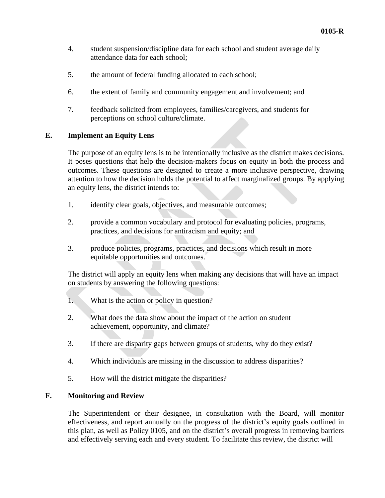- 4. student suspension/discipline data for each school and student average daily attendance data for each school;
- 5. the amount of federal funding allocated to each school;
- 6. the extent of family and community engagement and involvement; and
- 7. feedback solicited from employees, families/caregivers, and students for perceptions on school culture/climate.

## **E. Implement an Equity Lens**

The purpose of an equity lens is to be intentionally inclusive as the district makes decisions. It poses questions that help the decision-makers focus on equity in both the process and outcomes. These questions are designed to create a more inclusive perspective, drawing attention to how the decision holds the potential to affect marginalized groups. By applying an equity lens, the district intends to:

- 1. identify clear goals, objectives, and measurable outcomes;
- 2. provide a common vocabulary and protocol for evaluating policies, programs, practices, and decisions for antiracism and equity; and
- 3. produce policies, programs, practices, and decisions which result in more equitable opportunities and outcomes.

The district will apply an equity lens when making any decisions that will have an impact on students by answering the following questions:

- 1. What is the action or policy in question?
- 2. What does the data show about the impact of the action on student achievement, opportunity, and climate?
- 3. If there are disparity gaps between groups of students, why do they exist?
- 4. Which individuals are missing in the discussion to address disparities?
- 5. How will the district mitigate the disparities?

## **F. Monitoring and Review**

The Superintendent or their designee, in consultation with the Board, will monitor effectiveness, and report annually on the progress of the district's equity goals outlined in this plan, as well as Policy 0105, and on the district's overall progress in removing barriers and effectively serving each and every student. To facilitate this review, the district will